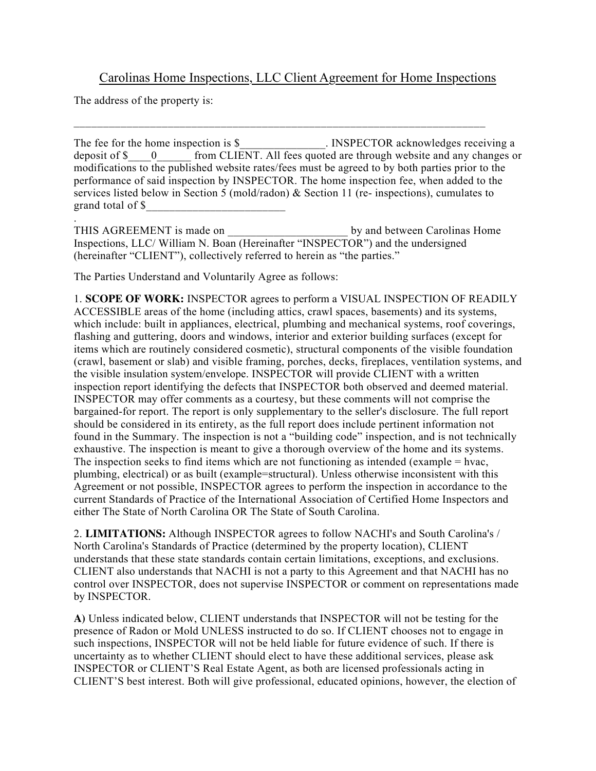## Carolinas Home Inspections, LLC Client Agreement for Home Inspections

\_\_\_\_\_\_\_\_\_\_\_\_\_\_\_\_\_\_\_\_\_\_\_\_\_\_\_\_\_\_\_\_\_\_\_\_\_\_\_\_\_\_\_\_\_\_\_\_\_\_\_\_\_\_\_\_\_\_\_\_\_\_\_\_\_\_\_\_\_\_

The address of the property is:

The fee for the home inspection is \$ The Second ENSPECTOR acknowledges receiving a deposit of \$  $\qquad$  0  $\qquad$  from CLIENT. All fees quoted are through website and any changes or modifications to the published website rates/fees must be agreed to by both parties prior to the performance of said inspection by INSPECTOR. The home inspection fee, when added to the services listed below in Section 5 (mold/radon)  $\&$  Section 11 (re- inspections), cumulates to grand total of \$\_\_\_\_\_\_\_\_\_\_\_\_\_\_\_\_\_\_\_\_\_\_\_\_ .

THIS AGREEMENT is made on the by and between Carolinas Home Inspections, LLC/ William N. Boan (Hereinafter "INSPECTOR") and the undersigned (hereinafter "CLIENT"), collectively referred to herein as "the parties."

The Parties Understand and Voluntarily Agree as follows:

1. **SCOPE OF WORK:** INSPECTOR agrees to perform a VISUAL INSPECTION OF READILY ACCESSIBLE areas of the home (including attics, crawl spaces, basements) and its systems, which include: built in appliances, electrical, plumbing and mechanical systems, roof coverings, flashing and guttering, doors and windows, interior and exterior building surfaces (except for items which are routinely considered cosmetic), structural components of the visible foundation (crawl, basement or slab) and visible framing, porches, decks, fireplaces, ventilation systems, and the visible insulation system/envelope. INSPECTOR will provide CLIENT with a written inspection report identifying the defects that INSPECTOR both observed and deemed material. INSPECTOR may offer comments as a courtesy, but these comments will not comprise the bargained-for report. The report is only supplementary to the seller's disclosure. The full report should be considered in its entirety, as the full report does include pertinent information not found in the Summary. The inspection is not a "building code" inspection, and is not technically exhaustive. The inspection is meant to give a thorough overview of the home and its systems. The inspection seeks to find items which are not functioning as intended (example = hvac, plumbing, electrical) or as built (example=structural). Unless otherwise inconsistent with this Agreement or not possible, INSPECTOR agrees to perform the inspection in accordance to the current Standards of Practice of the International Association of Certified Home Inspectors and either The State of North Carolina OR The State of South Carolina.

2. **LIMITATIONS:** Although INSPECTOR agrees to follow NACHI's and South Carolina's / North Carolina's Standards of Practice (determined by the property location), CLIENT understands that these state standards contain certain limitations, exceptions, and exclusions. CLIENT also understands that NACHI is not a party to this Agreement and that NACHI has no control over INSPECTOR, does not supervise INSPECTOR or comment on representations made by INSPECTOR.

**A)** Unless indicated below, CLIENT understands that INSPECTOR will not be testing for the presence of Radon or Mold UNLESS instructed to do so. If CLIENT chooses not to engage in such inspections, INSPECTOR will not be held liable for future evidence of such. If there is uncertainty as to whether CLIENT should elect to have these additional services, please ask INSPECTOR or CLIENT'S Real Estate Agent, as both are licensed professionals acting in CLIENT'S best interest. Both will give professional, educated opinions, however, the election of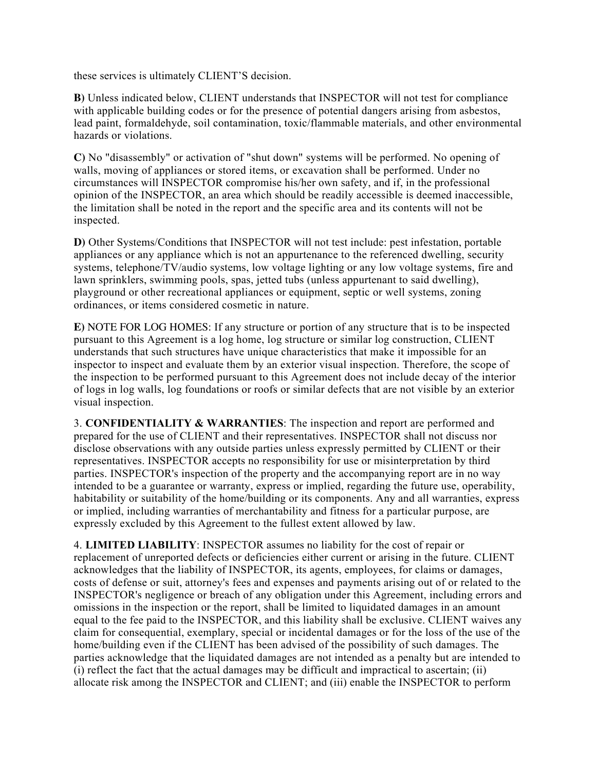these services is ultimately CLIENT'S decision.

**B)** Unless indicated below, CLIENT understands that INSPECTOR will not test for compliance with applicable building codes or for the presence of potential dangers arising from asbestos, lead paint, formaldehyde, soil contamination, toxic/flammable materials, and other environmental hazards or violations.

**C)** No "disassembly" or activation of "shut down" systems will be performed. No opening of walls, moving of appliances or stored items, or excavation shall be performed. Under no circumstances will INSPECTOR compromise his/her own safety, and if, in the professional opinion of the INSPECTOR, an area which should be readily accessible is deemed inaccessible, the limitation shall be noted in the report and the specific area and its contents will not be inspected.

**D)** Other Systems/Conditions that INSPECTOR will not test include: pest infestation, portable appliances or any appliance which is not an appurtenance to the referenced dwelling, security systems, telephone/TV/audio systems, low voltage lighting or any low voltage systems, fire and lawn sprinklers, swimming pools, spas, jetted tubs (unless appurtenant to said dwelling), playground or other recreational appliances or equipment, septic or well systems, zoning ordinances, or items considered cosmetic in nature.

**E)** NOTE FOR LOG HOMES: If any structure or portion of any structure that is to be inspected pursuant to this Agreement is a log home, log structure or similar log construction, CLIENT understands that such structures have unique characteristics that make it impossible for an inspector to inspect and evaluate them by an exterior visual inspection. Therefore, the scope of the inspection to be performed pursuant to this Agreement does not include decay of the interior of logs in log walls, log foundations or roofs or similar defects that are not visible by an exterior visual inspection.

3. **CONFIDENTIALITY & WARRANTIES**: The inspection and report are performed and prepared for the use of CLIENT and their representatives. INSPECTOR shall not discuss nor disclose observations with any outside parties unless expressly permitted by CLIENT or their representatives. INSPECTOR accepts no responsibility for use or misinterpretation by third parties. INSPECTOR's inspection of the property and the accompanying report are in no way intended to be a guarantee or warranty, express or implied, regarding the future use, operability, habitability or suitability of the home/building or its components. Any and all warranties, express or implied, including warranties of merchantability and fitness for a particular purpose, are expressly excluded by this Agreement to the fullest extent allowed by law.

4. **LIMITED LIABILITY**: INSPECTOR assumes no liability for the cost of repair or replacement of unreported defects or deficiencies either current or arising in the future. CLIENT acknowledges that the liability of INSPECTOR, its agents, employees, for claims or damages, costs of defense or suit, attorney's fees and expenses and payments arising out of or related to the INSPECTOR's negligence or breach of any obligation under this Agreement, including errors and omissions in the inspection or the report, shall be limited to liquidated damages in an amount equal to the fee paid to the INSPECTOR, and this liability shall be exclusive. CLIENT waives any claim for consequential, exemplary, special or incidental damages or for the loss of the use of the home/building even if the CLIENT has been advised of the possibility of such damages. The parties acknowledge that the liquidated damages are not intended as a penalty but are intended to (i) reflect the fact that the actual damages may be difficult and impractical to ascertain; (ii) allocate risk among the INSPECTOR and CLIENT; and (iii) enable the INSPECTOR to perform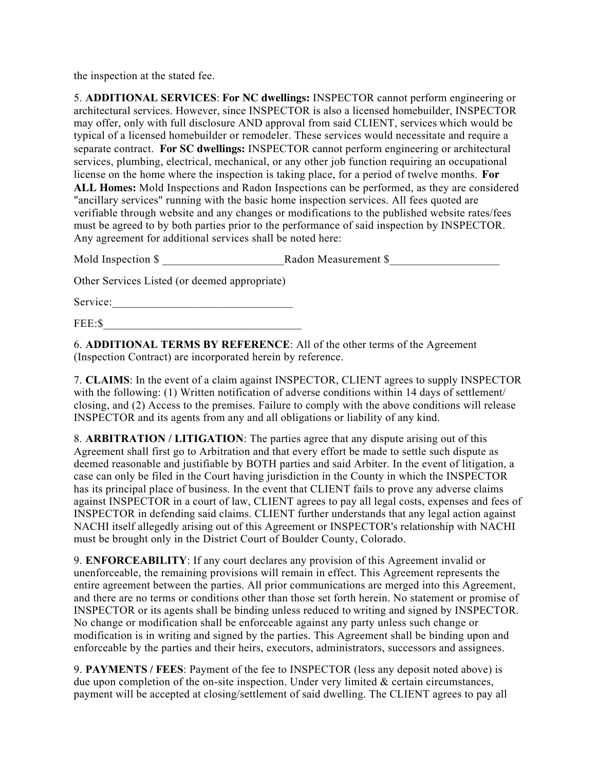the inspection at the stated fee.

5. **ADDITIONAL SERVICES**: **For NC dwellings:** INSPECTOR cannot perform engineering or architectural services. However, since INSPECTOR is also a licensed homebuilder, INSPECTOR may offer, only with full disclosure AND approval from said CLIENT, services which would be typical of a licensed homebuilder or remodeler. These services would necessitate and require a separate contract. **For SC dwellings:** INSPECTOR cannot perform engineering or architectural services, plumbing, electrical, mechanical, or any other job function requiring an occupational license on the home where the inspection is taking place, for a period of twelve months. **For ALL Homes:** Mold Inspections and Radon Inspections can be performed, as they are considered "ancillary services" running with the basic home inspection services. All fees quoted are verifiable through website and any changes or modifications to the published website rates/fees must be agreed to by both parties prior to the performance of said inspection by INSPECTOR. Any agreement for additional services shall be noted here:

Mold Inspection \$ \_\_\_\_\_\_\_\_\_\_\_\_\_\_\_\_\_\_\_\_\_Radon Measurement \$\_\_\_\_\_\_\_\_\_\_\_\_\_\_\_\_\_\_\_

Other Services Listed (or deemed appropriate)

Service:\_\_\_\_\_\_\_\_\_\_\_\_\_\_\_\_\_\_\_\_\_\_\_\_\_\_\_\_\_\_\_

FEE:\$

6. **ADDITIONAL TERMS BY REFERENCE**: All of the other terms of the Agreement (Inspection Contract) are incorporated herein by reference.

7. **CLAIMS**: In the event of a claim against INSPECTOR, CLIENT agrees to supply INSPECTOR with the following: (1) Written notification of adverse conditions within 14 days of settlement/ closing, and (2) Access to the premises. Failure to comply with the above conditions will release INSPECTOR and its agents from any and all obligations or liability of any kind.

8. **ARBITRATION / LITIGATION**: The parties agree that any dispute arising out of this Agreement shall first go to Arbitration and that every effort be made to settle such dispute as deemed reasonable and justifiable by BOTH parties and said Arbiter. In the event of litigation, a case can only be filed in the Court having jurisdiction in the County in which the INSPECTOR has its principal place of business. In the event that CLIENT fails to prove any adverse claims against INSPECTOR in a court of law, CLIENT agrees to pay all legal costs, expenses and fees of INSPECTOR in defending said claims. CLIENT further understands that any legal action against NACHI itself allegedly arising out of this Agreement or INSPECTOR's relationship with NACHI must be brought only in the District Court of Boulder County, Colorado.

9. **ENFORCEABILITY**: If any court declares any provision of this Agreement invalid or unenforceable, the remaining provisions will remain in effect. This Agreement represents the entire agreement between the parties. All prior communications are merged into this Agreement, and there are no terms or conditions other than those set forth herein. No statement or promise of INSPECTOR or its agents shall be binding unless reduced to writing and signed by INSPECTOR. No change or modification shall be enforceable against any party unless such change or modification is in writing and signed by the parties. This Agreement shall be binding upon and enforceable by the parties and their heirs, executors, administrators, successors and assignees.

9. **PAYMENTS / FEES**: Payment of the fee to INSPECTOR (less any deposit noted above) is due upon completion of the on-site inspection. Under very limited & certain circumstances, payment will be accepted at closing/settlement of said dwelling. The CLIENT agrees to pay all